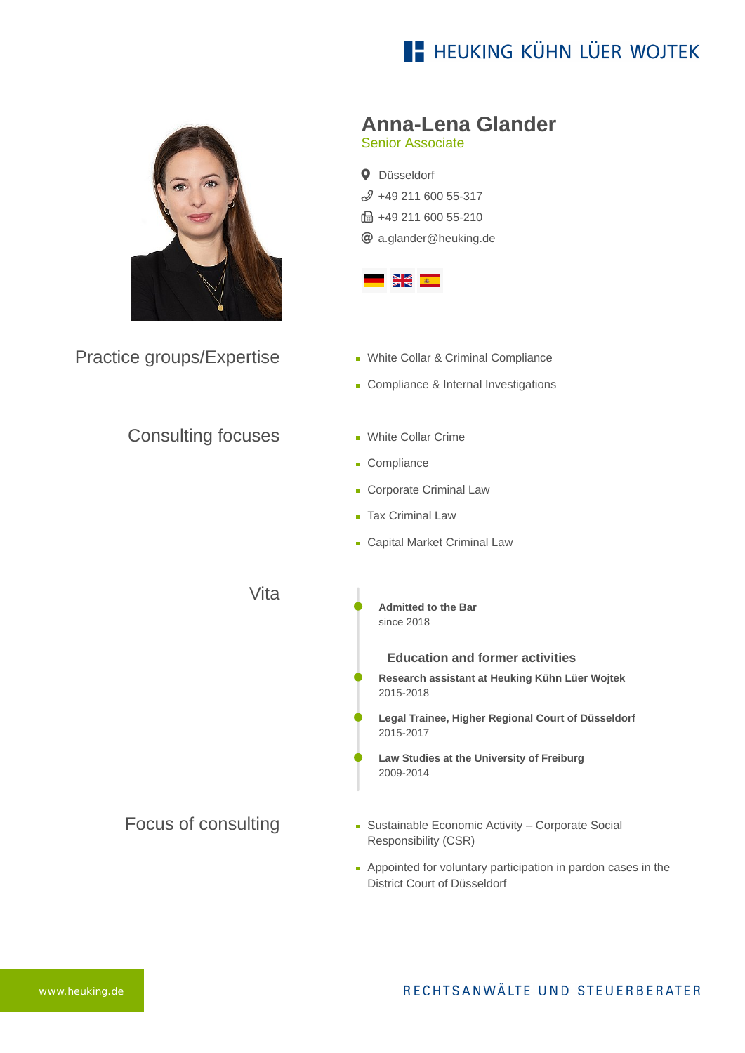# **E- HEUKING KÜHN LÜER WOJTEK**



Practice groups/Expertise

### Consulting focuses

**Anna-Lena Glander**

Senior Associate

**Q** Düsseldorf  $$49$  211 600 55-317 ft: +49 211 600 55-210 [a.glander@heuking.de](mailto:a.glander@heuking.de?subject=Contact%20via%20website%20heuking.de)



- **White Collar & Criminal Compliance**
- Compliance & Internal Investigations
- **White Collar Crime**
- Compliance
- **Corporate Criminal Law**
- **Tax Criminal Law**
- **Capital Market Criminal Law**

Vita

**Admitted to the Bar** since 2018

**Education and former activities**

- **Research assistant at Heuking Kühn Lüer Wojtek** 2015-2018
- **Legal Trainee, Higher Regional Court of Düsseldorf** 2015-2017
- **Law Studies at the University of Freiburg** 2009-2014
- Focus of consulting [Sustainable Economic Activity – Corporate Social](https://www.heuking.de/en/focus-of-activities/sustainable-economic-activity-corporate-social-responsibility-csr.html) Responsibility (CSR)
	- Appointed for voluntary participation in pardon cases in the District Court of Düsseldorf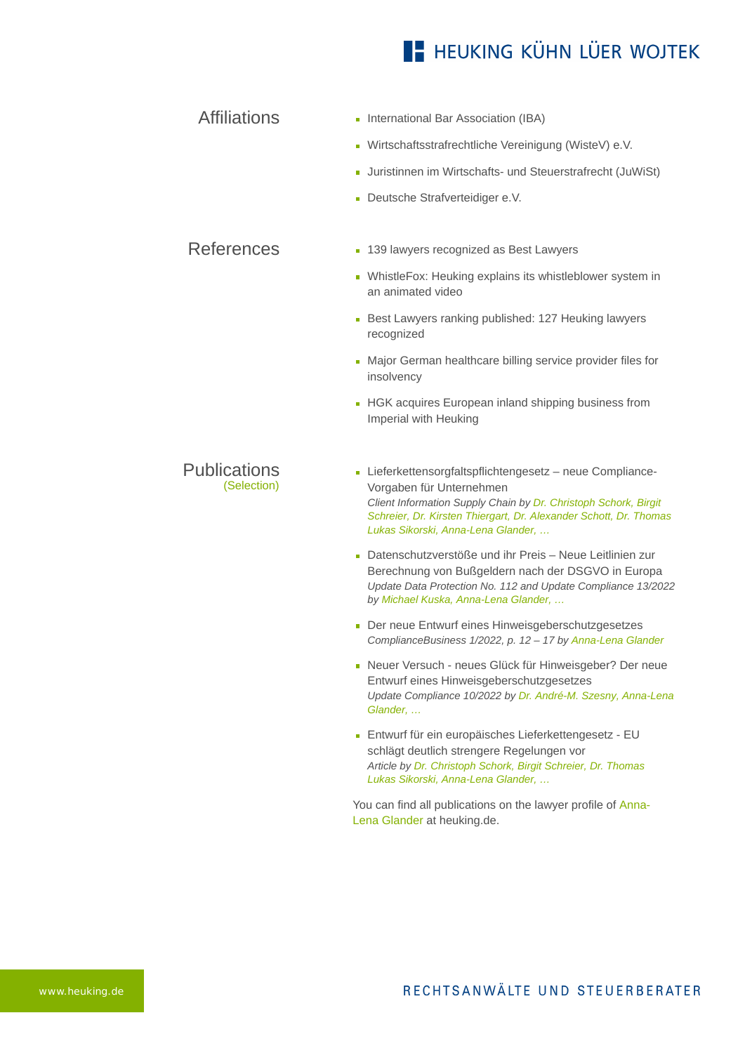## **E- HEUKING KÜHN LÜER WOJTEK**

## Affiliations **International Bar Association (IBA)**

- Wirtschaftsstrafrechtliche Vereinigung (WisteV) e.V.
- Juristinnen im Wirtschafts- und Steuerstrafrecht (JuWiSt)
- Deutsche Strafverteidiger e.V.

#### References **[139 lawyers recognized as Best Lawyers](https://www.heuking.de/en/lawyers/detail/pdf-download.html?lawyer=977&cHash=888d3d28ab11772a07ad9016baaffe07)**

- [WhistleFox: Heuking explains its whistleblower system in](https://www.heuking.de/en/lawyers/detail/pdf-download.html?lawyer=977&cHash=888d3d28ab11772a07ad9016baaffe07) an animated video
- [Best Lawyers ranking published: 127 Heuking lawyers](https://www.heuking.de/en/lawyers/detail/pdf-download.html?lawyer=977&cHash=888d3d28ab11772a07ad9016baaffe07) recognized
- [Major German healthcare billing service provider files for](https://www.heuking.de/en/lawyers/detail/pdf-download.html?lawyer=977&cHash=888d3d28ab11772a07ad9016baaffe07) insolvency
- **[HGK acquires European inland shipping business from](https://www.heuking.de/en/lawyers/detail/pdf-download.html?lawyer=977&cHash=888d3d28ab11772a07ad9016baaffe07)** Imperial with Heuking

#### Publications (Selection)

- Lieferkettensorgfaltspflichtengesetz neue Compliance-Vorgaben für Unternehmen *Client Information Supply Chain by Dr. Christoph Schork, Birgit Schreier, Dr. Kirsten Thiergart, Dr. Alexander Schott, Dr. Thomas Lukas Sikorski, Anna-Lena Glander, …*
- Datenschutzverstöße und ihr Preis Neue Leitlinien zur Berechnung von Bußgeldern nach der DSGVO in Europa *Update Data Protection No. 112 and Update Compliance 13/2022 by Michael Kuska, Anna-Lena Glander, …*
- Der neue Entwurf eines Hinweisgeberschutzgesetzes *ComplianceBusiness 1/2022, p. 12 – 17 by Anna-Lena Glander*
- Neuer Versuch neues Glück für Hinweisgeber? Der neue Entwurf eines Hinweisgeberschutzgesetzes *Update Compliance 10/2022 by Dr. André-M. Szesny, Anna-Lena Glander, …*
- Entwurf für ein europäisches Lieferkettengesetz EU schlägt deutlich strengere Regelungen vor *Article by Dr. Christoph Schork, Birgit Schreier, Dr. Thomas Lukas Sikorski, Anna-Lena Glander, …*

[You can find all publications on the lawyer profile of Anna-](https://www.heuking.de/en/lawyers/detail/anna-lena-glander.html)Lena Glander at heuking.de.